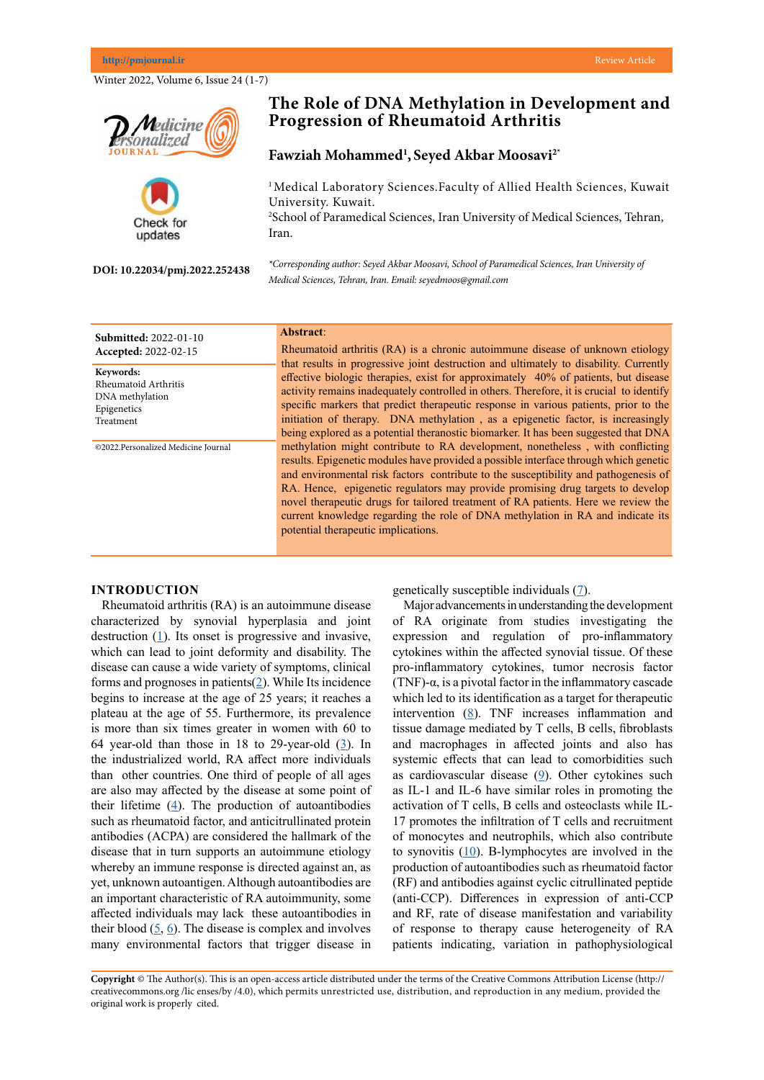#### **http://pmjournal.ir** Review Article

Winter 2022, Volume 6, Issue 24 (1-7)

**DOI: 10.22034/pmj.2022.252438**

Check for updates

**Progression of Rheumatoid Arthritis**

## **Fawziah Mohammed1 , Seyed Akbar Moosavi2\***

<sup>1</sup> Medical Laboratory Sciences. Faculty of Allied Health Sciences, Kuwait University. Kuwait. 2 School of Paramedical Sciences, Iran University of Medical Sciences, Tehran, Iran.

*\*Corresponding author: Seyed Akbar Moosavi, School of Paramedical Sciences, Iran University of Medical Sciences, Tehran, Iran. Email: seyedmoos@gmail.com*

Rheumatoid arthritis (RA) is a chronic autoimmune disease of unknown etiology that results in progressive joint destruction and ultimately to disability. Currently effective biologic therapies, exist for approximately 40% of patients, but disease activity remains inadequately controlled in others. Therefore, it is crucial to identify specific markers that predict therapeutic response in various patients, prior to the initiation of therapy. DNA methylation , as a epigenetic factor, is increasingly being explored as a potential theranostic biomarker. It has been suggested that DNA methylation might contribute to RA development, nonetheless , with conflicting results. Epigenetic modules have provided a possible interface through which genetic and environmental risk factors contribute to the susceptibility and pathogenesis of RA. Hence, epigenetic regulators may provide promising drug targets to develop patients. Here we review the vlation in RA and indicate its

## **INTRODU**

**Keywords:**

Rheumatoid Arthritis DNA methylation Epigenetics Treatment

©2022.Personalized Medicine Journal

Rheumato<sup>1</sup> characterized destruction ( which can le disease can o forms and prognoses in patients $(2)$  $(2)$  $(2)$ . While Its incidence begins to increase at the age of 25 years; it reaches a plateau at the age of 55. Furthermore, its prevalence is more than six times greater in women with 60 to 64 year-old than those in 18 to 29-year-old  $(3)$  $(3)$  $(3)$ . In the industrialized world, RA affect more individuals than other countries. One third of people of all ages are also may affected by the disease at some point of their lifetime  $(4)$  $(4)$  $(4)$ . The production of autoantibodies such as rheumatoid factor, and anticitrullinated protein antibodies (ACPA) are considered the hallmark of the disease that in turn supports an autoimmune etiology whereby an immune response is directed against an, as yet, unknown autoantigen. Although autoantibodies are an important characteristic of RA autoimmunity, some affected individuals may lack these autoantibodies in their blood  $(5, 6)$  $(5, 6)$  $(5, 6)$  $(5, 6)$ . The disease is complex and involves many environmental factors that trigger disease in

dividuals  $(7)$  $(7)$ .

nderstanding the development studies investigating the tion of pro-inflammatory ted synovial tissue. Of these nes, tumor necrosis factor (TNF)- $\alpha$ , is a pivotal factor in the inflammatory cascade which led to its identification as a target for therapeutic intervention ([8](Tseng CC, Lin YZ, Lin CH, Li RN, Tsai WC, Ou TT, Wu CC, Sung WY, Yen JH. Genetic and epigenetic alteration of the programmed cell death 1 in rheumatoid arthritis. European Journal of Clinical Investigation. 2019 Oct;49(10):e13094.
)). TNF increases inflammation and tissue damage mediated by T cells, B cells, fibroblasts and macrophages in affected joints and also has systemic effects that can lead to comorbidities such as cardiovascular disease  $(2)$ . Other cytokines such as IL-1 and IL-6 have similar roles in promoting the activation of T cells, B cells and osteoclasts while IL-17 promotes the infiltration of T cells and recruitment of monocytes and neutrophils, which also contribute to synovitis  $(10)$  $(10)$  $(10)$ . B-lymphocytes are involved in the production of autoantibodies such as rheumatoid factor (RF) and antibodies against cyclic citrullinated peptide (anti-CCP). Differences in expression of anti-CCP and RF, rate of disease manifestation and variability of response to therapy cause heterogeneity of RA patients indicating, variation in pathophysiological

**r**edicine onalized

**Submitted:** 2022-01-10 **Accepted:** 2022-02-15 **Abstract**:

# **The Role of DNA Methylation in Development and**

|                                                                                                                                                                                                                                                 | novel therapeutic drugs for tailored treatment of RA<br>current knowledge regarding the role of DNA meth<br>potential therapeutic implications. |                                                                                                                                                                      |
|-------------------------------------------------------------------------------------------------------------------------------------------------------------------------------------------------------------------------------------------------|-------------------------------------------------------------------------------------------------------------------------------------------------|----------------------------------------------------------------------------------------------------------------------------------------------------------------------|
| <b>CTION</b><br>id arthritis (RA) is an autoimmune disease<br>d by synovial hyperplasia and joint<br>$(1)$ . Its onset is progressive and invasive,<br>ead to joint deformity and disability. The<br>cause a wide variety of symptoms, clinical |                                                                                                                                                 | genetically susceptible ind<br>Major advancements in un<br>of RA originate from<br>expression and regulat<br>cytokines within the affect<br>pro-inflammatory cytokin |
|                                                                                                                                                                                                                                                 |                                                                                                                                                 |                                                                                                                                                                      |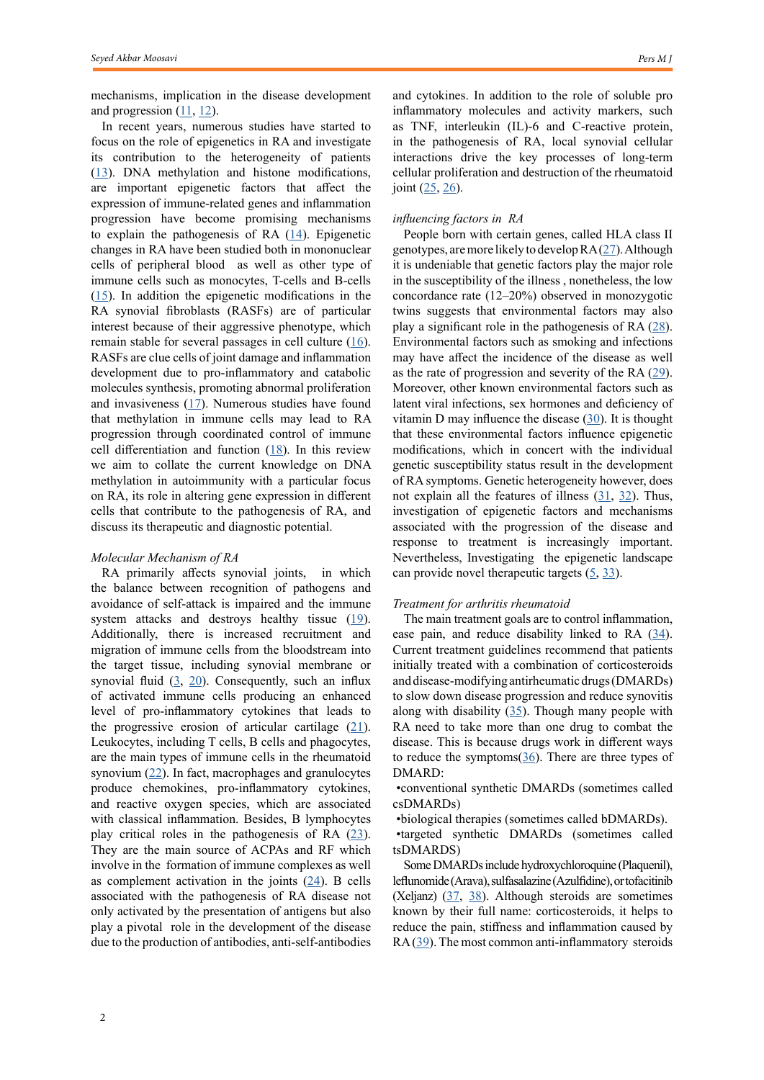mechanisms, implication in the disease development and progression  $(11, 12)$  $(11, 12)$  $(11, 12)$ .

In recent years, numerous studies have started to focus on the role of epigenetics in RA and investigate its contribution to the heterogeneity of patients [\(13](Tam LS, Gu J, Yu D. Pathogenesis of ankylosing spondylitis. Nature Reviews Rheumatology. 2010 Jul;6(7):399-405.)). DNA methylation and histone modifications, are important epigenetic factors that affect the expression of immune-related genes and inflammation progression have become promising mechanisms to explain the pathogenesis of RA  $(14)$  $(14)$  $(14)$ . Epigenetic changes in RA have been studied both in mononuclear cells of peripheral blood as well as other type of immune cells such as monocytes, T-cells and B-cells  $(15)$  $(15)$ . In addition the epigenetic modifications in the RA synovial fibroblasts (RASFs) are of particular interest because of their aggressive phenotype, which remain stable for several passages in cell culture  $(16)$  $(16)$  $(16)$ . RASFs are clue cells of joint damage and inflammation development due to pro-inflammatory and catabolic molecules synthesis, promoting abnormal proliferation and invasiveness  $(17)$  $(17)$ . Numerous studies have found that methylation in immune cells may lead to RA progression through coordinated control of immune cell differentiation and function  $(18)$  $(18)$ . In this review we aim to collate the current knowledge on DNA methylation in autoimmunity with a particular focus on RA, its role in altering gene expression in different cells that contribute to the pathogenesis of RA, and discuss its therapeutic and diagnostic potential.

## *Molecular Mechanism of RA*

RA primarily affects synovial joints, in which the balance between recognition of pathogens and avoidance of self-attack is impaired and the immune system attacks and destroys healthy tissue ([19](Hitchon CA, El-Gabalawy HS. Suppl 1: the synovium in rheumatoid arthritis. The open rheumatology journal. 2011;5:107.
)). Additionally, there is increased recruitment and migration of immune cells from the bloodstream into the target tissue, including synovial membrane or synovial fluid  $(3, 20)$  $(3, 20)$  $(3, 20)$  $(3, 20)$  $(3, 20)$ . Consequently, such an influx of activated immune cells producing an enhanced level of pro-inflammatory cytokines that leads to the progressive erosion of articular cartilage  $(21)$  $(21)$ . Leukocytes, including T cells, B cells and phagocytes, are the main types of immune cells in the rheumatoid synovium [\(22](Bogdanos DP, Smyk DS, Rigopoulou EI, Mytilinaiou MG, Heneghan MA, Selmi C, Gershwin ME. Twin studies in autoimmune disease: genetics, gender and environment. Journal of autoimmunity. 2012 May 1;38(2-3):J156-69.
)). In fact, macrophages and granulocytes produce chemokines, pro-inflammatory cytokines, and reactive oxygen species, which are associated with classical inflammation. Besides, B lymphocytes play critical roles in the pathogenesis of RA  $(23)$  $(23)$ . They are the main source of ACPAs and RF which involve in the formation of immune complexes as well as complement activation in the joints  $(24)$  $(24)$ . B cells associated with the pathogenesis of RA disease not only activated by the presentation of antigens but also play a pivotal role in the development of the disease due to the production of antibodies, anti-self-antibodies

and cytokines. In addition to the role of soluble pro inflammatory molecules and activity markers, such as TNF, interleukin (IL)-6 and C-reactive protein, in the pathogenesis of RA, local synovial cellular interactions drive the key processes of long-term cellular proliferation and destruction of the rheumatoid joint  $(25, 26)$  $(25, 26)$  $(25, 26)$  $(25, 26)$ .

## *influencing factors in RA*

People born with certain genes, called HLA class II genotypes, are more likely to develop RA ([27](Abbasi M, Mousavi MJ, Jamalzehi S, Alimohammadi R, Bezvan MH, Mohammadi H, Aslani S. Strategies toward rheumatoid arthritis therapy; the old and the new. Journal of cellular physiology. 2019 Jul;234(7):10018-31.
)). Although it is undeniable that genetic factors play the major role in the susceptibility of the illness , nonetheless, the low concordance rate (12–20%) observed in monozygotic twins suggests that environmental factors may also play a significant role in the pathogenesis of RA ([28](Frisell T, Saevarsdottir S, Askling J. Family history of rheumatoid arthritis: an old concept with new developments. Nature Reviews Rheumatology. 2016 Jun;12(6):335-43.
)). Environmental factors such as smoking and infections may have affect the incidence of the disease as well as the rate of progression and severity of the RA  $(29)$  $(29)$  $(29)$ . Moreover, other known environmental factors such as latent viral infections, sex hormones and deficiency of vitamin D may influence the disease  $(30)$  $(30)$ . It is thought that these environmental factors influence epigenetic modifications, which in concert with the individual genetic susceptibility status result in the development of RA symptoms. Genetic heterogeneity however, does not explain all the features of illness  $(31, 32)$  $(31, 32)$  $(31, 32)$  $(31, 32)$  $(31, 32)$ . Thus, investigation of epigenetic factors and mechanisms associated with the progression of the disease and response to treatment is increasingly important. Nevertheless, Investigating the epigenetic landscape can provide novel therapeutic targets  $(5, 33)$  $(5, 33)$  $(5, 33)$  $(5, 33)$ .

#### *Treatment for arthritis rheumatoid*

The main treatment goals are to control inflammation, ease pain, and reduce disability linked to RA  $(34)$  $(34)$  $(34)$ . Current treatment guidelines recommend that patients initially treated with a combination of corticosteroids and disease-modifying antirheumatic drugs (DMARDs) to slow down disease progression and reduce synovitis along with disability  $(35)$  $(35)$ . Though many people with RA need to take more than one drug to combat the disease. This is because drugs work in different ways to reduce the symptoms $(36)$  $(36)$  $(36)$ . There are three types of DMARD:

•conventional synthetic DMARDs (sometimes called csDMARDs)

•biological therapies (sometimes called bDMARDs).

•targeted synthetic DMARDs (sometimes called tsDMARDS)

Some DMARDs include hydroxychloroquine (Plaquenil), leflunomide (Arava), sulfasalazine (Azulfidine), or tofacitinib (Xeljanz) [\(37](McInnes IB, Schett G. Pathogenetic insights from the treatment of rheumatoid arthritis. The Lancet. 2017 Jun 10;389(10086):2328-37.), [38](Bullock J, Rizvi SA, Saleh AM, Ahmed SS, Do DP, Ansari RA, Ahmed J. Rheumatoid arthritis: a brief overview of the treatment. Medical Principles and Practice. 2018;27(6):501-7.
)). Although steroids are sometimes known by their full name: corticosteroids, it helps to reduce the pain, stiffness and inflammation caused by RA ([39\)](Oliver J, Plant D, Webster AP, Barton A. Genetic and genomic markers of anti-TNF treatment response in rheumatoid arthritis. Biomarkers in Medicine. 2015 Jun;9(6):499-512.
). The most common anti-inflammatory steroids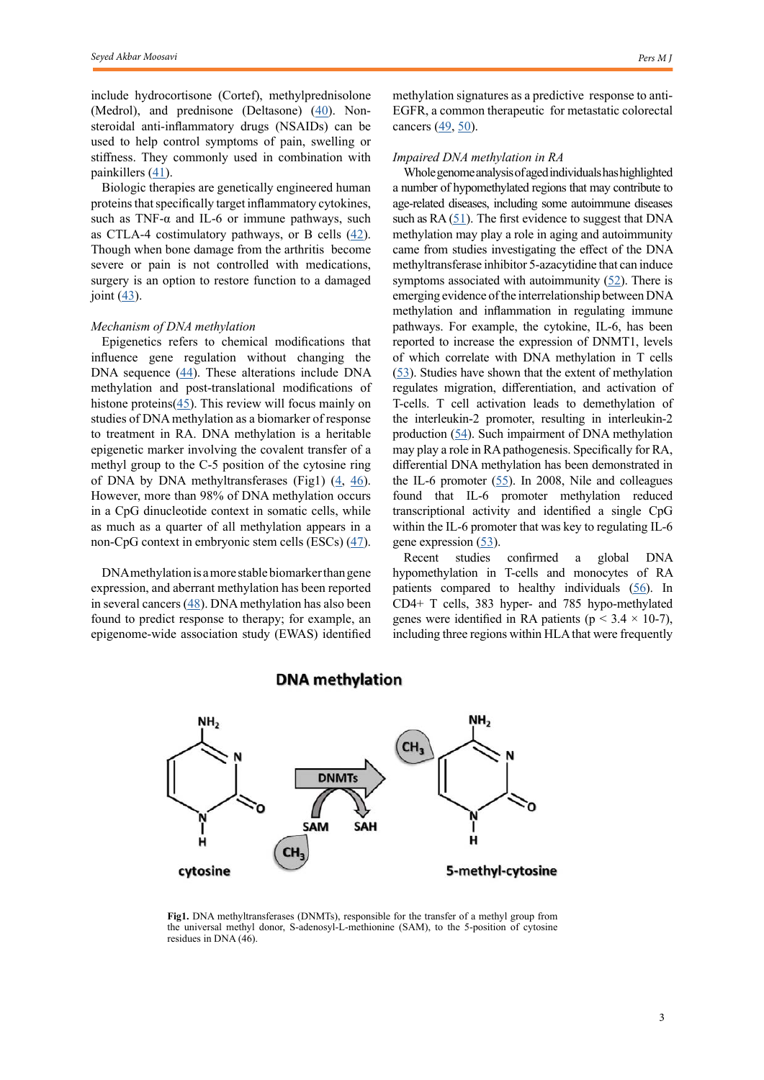include hydrocortisone (Cortef), methylprednisolone (Medrol), and prednisone (Deltasone) ([40\)](Rein P, Mueller RB. Treatment with biologicals in rheumatoid arthritis: an overview. Rheumatology and therapy. 2017 Dec;4(2):247-61.
). Nonsteroidal anti-inflammatory drugs (NSAIDs) can be used to help control symptoms of pain, swelling or stiffness. They commonly used in combination with painkillers ([41](Zampeli E, Vlachoyiannopoulos PG, Tzioufas AG. Treatment of rheumatoid arthritis: unraveling the conundrum. Journal of autoimmunity. 2015 Dec 1;65:1-8.
)).

Biologic therapies are genetically engineered human proteins that specifically target inflammatory cytokines, such as TNF- $\alpha$  and IL-6 or immune pathways, such as CTLA-4 costimulatory pathways, or B cells  $(42)$  $(42)$ . Though when bone damage from the arthritis become severe or pain is not controlled with medications, surgery is an option to restore function to a damaged joint  $(43)$  $(43)$  $(43)$ .

#### *Mechanism of DNA methylation*

Epigenetics refers to chemical modifications that influence gene regulation without changing the DNA sequence  $(44)$  $(44)$  $(44)$ . These alterations include DNA methylation and post-translational modifications of histone proteins $(45)$  $(45)$  $(45)$ . This review will focus mainly on studies of DNA methylation as a biomarker of response to treatment in RA. DNA methylation is a heritable epigenetic marker involving the covalent transfer of a methyl group to the C-5 position of the cytosine ring of DNA by DNA methyltransferases (Fig1)  $(4, 46)$  $(4, 46)$  $(4, 46)$  $(4, 46)$  $(4, 46)$ . However, more than 98% of DNA methylation occurs in a CpG dinucleotide context in somatic cells, while as much as a quarter of all methylation appears in a non-CpG context in embryonic stem cells (ESCs) [\(47](Renauer P, Coit P, Jeffries MA, Merrill JT, McCune WJ, Maksimowicz-McKinnon K, Sawalha AH. DNA methylation patterns in naïve CD4+ T cells identify epigenetic susceptibility loci for malar rash and discoid rash in systemic lupus erythematosus. Lupus science & medicine. 2015 Sep 1;2(1):e000101.
)).

DNA methylation is a more stable biomarker than gene expression, and aberrant methylation has been reported in several cancers  $(48)$  $(48)$  $(48)$ . DNA methylation has also been found to predict response to therapy; for example, an epigenome-wide association study (EWAS) identified methylation signatures as a predictive response to anti-EGFR, a common therapeutic for metastatic colorectal cancers  $(49, 50)$  $(49, 50)$  $(49, 50)$  $(49, 50)$  $(49, 50)$ .

#### *Impaired DNA methylation in RA*

Whole genome analysis of aged individuals has highlighted a number of hypomethylated regions that may contribute to age-related diseases, including some autoimmune diseases such as  $RA(51)$  $RA(51)$  $RA(51)$ . The first evidence to suggest that DNA methylation may play a role in aging and autoimmunity came from studies investigating the effect of the DNA methyltransferase inhibitor 5-azacytidine that can induce symptoms associated with autoimmunity  $(52)$  $(52)$ . There is emerging evidence of the interrelationship between DNA methylation and inflammation in regulating immune pathways. For example, the cytokine, IL-6, has been reported to increase the expression of DNMT1, levels of which correlate with DNA methylation in T cells [\(53](Sun B, Hu L, Luo ZY, Chen XP, Zhou HH, Zhang W. DNA methylation perspectives in the pathogenesis of autoimmune diseases. Clinical Immunology. 2016 Mar 1;164:21-7.)). Studies have shown that the extent of methylation regulates migration, differentiation, and activation of T-cells. T cell activation leads to demethylation of the interleukin-2 promoter, resulting in interleukin-2 production ([54](de Andres MC, Perez-Pampin E, Calaza M, Santaclara FJ, Ortea I, Gomez-Reino JJ, Gonzalez A. Assessment of global DNA methylation in peripheral blood cell subpopulations of early rheumatoid arthritis before and after methotrexate. Arthritis research & therapy. 2015 Dec;17(1):1-9.
)). Such impairment of DNA methylation may play a role in RA pathogenesis. Specifically for RA, differential DNA methylation has been demonstrated in the IL-6 promoter  $(55)$  $(55)$  $(55)$ . In 2008, Nile and colleagues found that IL-6 promoter methylation reduced transcriptional activity and identified a single CpG within the IL-6 promoter that was key to regulating IL-6 gene expression ([53\)](Sun B, Hu L, Luo ZY, Chen XP, Zhou HH, Zhang W. DNA methylation perspectives in the pathogenesis of autoimmune diseases. Clinical Immunology. 2016 Mar 1;164:21-7.).

Recent studies confirmed a global DNA hypomethylation in T-cells and monocytes of RA patients compared to healthy individuals ([56](Park SH, Kim SK, Choe JY, Moon Y, An S, Park MJ, Kim DS. Hypermethylation of EBF3 and IRX1 genes in synovial fibroblasts of patients with rheumatoid arthritis. Molecules and cells. 2013 Apr;35(4):298-304.
)). In CD4+ T cells, 383 hyper- and 785 hypo-methylated genes were identified in RA patients ( $p < 3.4 \times 10^{-7}$ ), including three regions within HLA that were frequently



## **DNA** methylation

**Fig1.** DNA methyltransferases (DNMTs), responsible for the transfer of a methyl group from the universal methyl donor, S-adenosyl-L-methionine (SAM), to the 5-position of cytosine residues in DNA (46).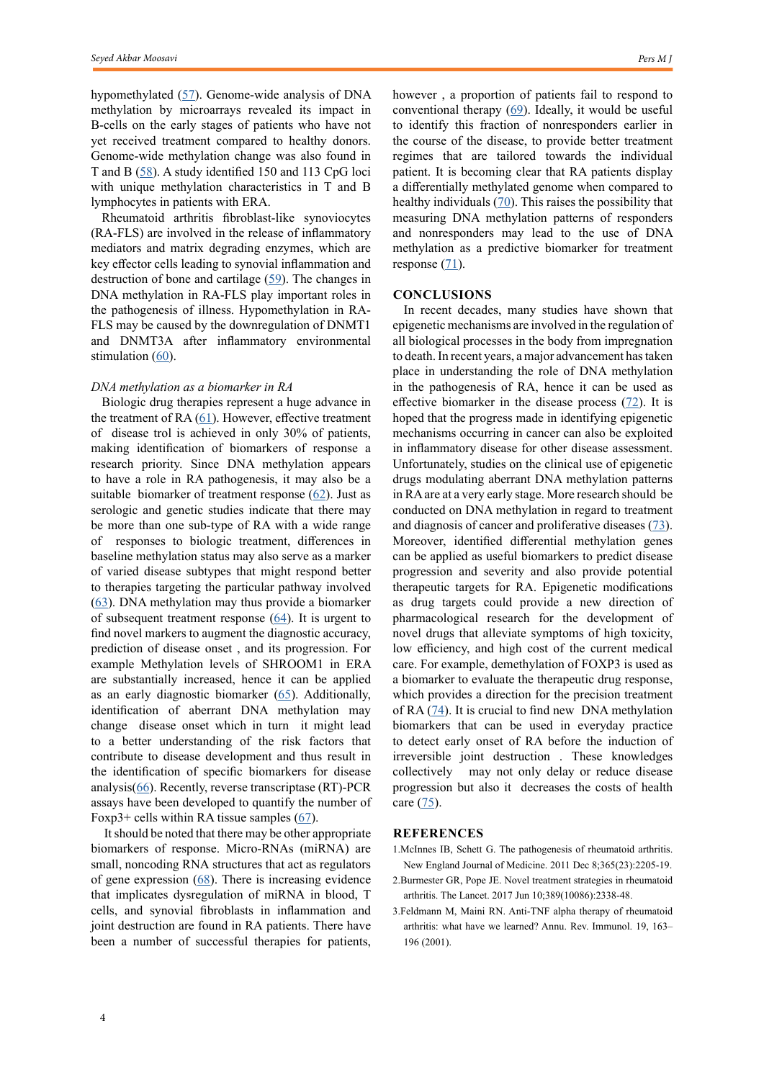hypomethylated ([57](Hammaker D, Whitaker JW, Maeshima K, Boyle DL, Ekwall AK, Wang W, Firestein GS. LBH gene transcription regulation by the interplay of an enhancer risk allele and DNA methylation in rheumatoid arthritis. Arthritis & rheumatology. 2016 Nov;68(11):2637-45.
)). Genome-wide analysis of DNA methylation by microarrays revealed its impact in B-cells on the early stages of patients who have not yet received treatment compared to healthy donors. Genome-wide methylation change was also found in T and B [\(58](Guderud K, Sunde LH, Flåm ST, Mæhlen MT, Mjaavatten MD, Lillegraven S, Aga AB, Evenrød IM, Norli ES, Andreassen BK, Franzenburg S. Rheumatoid Arthritis Patients, Both Newly Diagnosed and Methotrexate Treated, Show More DNA Methylation Differences in CD4+ Memory Than in CD4+ Naïve T Cells. Frontiers in immunology. 2020:194.
)). A study identified 150 and 113 CpG loci with unique methylation characteristics in T and B lymphocytes in patients with ERA.

Rheumatoid arthritis fibroblast-like synoviocytes (RA-FLS) are involved in the release of inflammatory mediators and matrix degrading enzymes, which are key effector cells leading to synovial inflammation and destruction of bone and cartilage ([59](Guo S, Zhu Q, Jiang T, Wang R, Shen Y, Zhu X, Wang Y, Bai F, Ding Q, Zhou X, Chen G. Genome-wide DNA methylation patterns in CD4+ T cells from Chinese Han patients with rheumatoid arthritis. Modern rheumatology. 2017 May 4;27(3):441-7.
)). The changes in DNA methylation in RA-FLS play important roles in the pathogenesis of illness. Hypomethylation in RA-FLS may be caused by the downregulation of DNMT1 and DNMT3A after inflammatory environmental stimulation ([60](Sellars M, Huh JR, Day K, Issuree PD, Galan C, Gobeil S, Absher D, Green MR, Littman DR. Regulation of DNA methylation dictates Cd4 expression during the development of helper and cytotoxic T cell lineages. Nature immunology. 2015 Jul;16(7):746-54.
)).

#### *DNA methylation as a biomarker in RA*

Biologic drug therapies represent a huge advance in the treatment of RA  $(61)$  $(61)$  $(61)$ . However, effective treatment of disease trol is achieved in only 30% of patients, making identification of biomarkers of response a research priority. Since DNA methylation appears to have a role in RA pathogenesis, it may also be a suitable biomarker of treatment response  $(62)$  $(62)$  $(62)$ . Just as serologic and genetic studies indicate that there may be more than one sub-type of RA with a wide range of responses to biologic treatment, differences in baseline methylation status may also serve as a marker of varied disease subtypes that might respond better to therapies targeting the particular pathway involved ([63](Viatte S, Massey J, Bowes J, Duffus K, arcOGEN Consortium, Eyre S, Barton A, Worthington J, Loughlin J, Arden N, Birrell F. Replication of associations of genetic loci outside the hla region with susceptibility to anti–cyclic citrullinated peptide–negative rheumatoid arthritis. Arthritis & rheumatology. 2016 Jul;68(7):1603-13.
)). DNA methylation may thus provide a biomarker of subsequent treatment response  $(64)$  $(64)$ . It is urgent to find novel markers to augment the diagnostic accuracy, prediction of disease onset , and its progression. For example Methylation levels of SHROOM1 in ERA are substantially increased, hence it can be applied as an early diagnostic biomarker  $(65)$  $(65)$ . Additionally, identification of aberrant DNA methylation may change disease onset which in turn it might lead to a better understanding of the risk factors that contribute to disease development and thus result in the identification of specific biomarkers for disease analysis( $66$ ). Recently, reverse transcriptase (RT)-PCR assays have been developed to quantify the number of Foxp3+ cells within RA tissue samples  $(67)$  $(67)$  $(67)$ .

It should be noted that there may be other appropriate biomarkers of response. Micro-RNAs (miRNA) are small, noncoding RNA structures that act as regulators of gene expression  $(68)$  $(68)$  $(68)$ . There is increasing evidence that implicates dysregulation of miRNA in blood, T cells, and synovial fibroblasts in inflammation and joint destruction are found in RA patients. There have been a number of successful therapies for patients, however , a proportion of patients fail to respond to conventional therapy  $(69)$  $(69)$ . Ideally, it would be useful to identify this fraction of nonresponders earlier in the course of the disease, to provide better treatment regimes that are tailored towards the individual patient. It is becoming clear that RA patients display a differentially methylated genome when compared to healthy individuals  $(70)$  $(70)$  $(70)$ . This raises the possibility that measuring DNA methylation patterns of responders and nonresponders may lead to the use of DNA methylation as a predictive biomarker for treatment response  $(71)$  $(71)$ .

### **CONCLUSIONS**

In recent decades, many studies have shown that epigenetic mechanisms are involved in the regulation of all biological processes in the body from impregnation to death. In recent years, a major advancement has taken place in understanding the role of DNA methylation in the pathogenesis of RA, hence it can be used as effective biomarker in the disease process ([72](Tabares P, Berr S, Langenhorst D, Sawitzki B, Ten Berge I, Tony HP, Hünig T. Short‐term cytokine stimulation reveals regulatory T cells with down‐regulated Foxp3 expression in human peripheral blood. European journal of immunology. 2018 Feb;48(2):366-79.
)). It is hoped that the progress made in identifying epigenetic mechanisms occurring in cancer can also be exploited in inflammatory disease for other disease assessment. Unfortunately, studies on the clinical use of epigenetic drugs modulating aberrant DNA methylation patterns in RA are at a very early stage. More research should be conducted on DNA methylation in regard to treatment and diagnosis of cancer and proliferative diseases ([73\)](Moosavi A, Ardekani AM. Role of epigenetics in biology and human diseases. Iranian biomedical journal. 2016 Nov;20(5):246.
). Moreover, identified differential methylation genes can be applied as useful biomarkers to predict disease progression and severity and also provide potential therapeutic targets for RA. Epigenetic modifications as drug targets could provide a new direction of pharmacological research for the development of novel drugs that alleviate symptoms of high toxicity, low efficiency, and high cost of the current medical care. For example, demethylation of FOXP3 is used as a biomarker to evaluate the therapeutic drug response, which provides a direction for the precision treatment of RA  $(74)$  $(74)$  $(74)$ . It is crucial to find new DNA methylation biomarkers that can be used in everyday practice to detect early onset of RA before the induction of irreversible joint destruction . These knowledges collectively may not only delay or reduce disease progression but also it decreases the costs of health care  $(75)$  $(75)$ .

## **REFERENCES**

- 1.McInnes IB, Schett G. The pathogenesis of rheumatoid arthritis. New England Journal of Medicine. 2011 Dec 8;365(23):2205-19.
- 2.Burmester GR, Pope JE. Novel treatment strategies in rheumatoid arthritis. The Lancet. 2017 Jun 10;389(10086):2338-48.
- 3.Feldmann M, Maini RN. Anti-TNF alpha therapy of rheumatoid arthritis: what have we learned? Annu. Rev. Immunol. 19, 163– 196 (2001).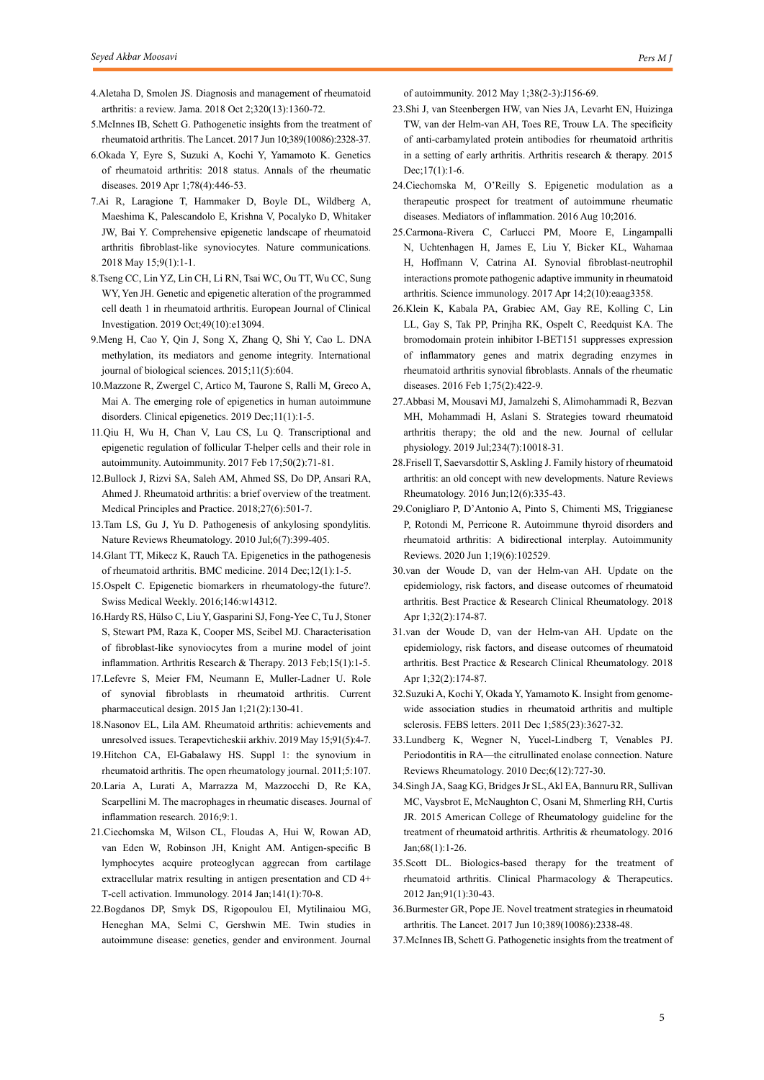- 4.Aletaha D, Smolen JS. Diagnosis and management of rheumatoid arthritis: a review. Jama. 2018 Oct 2;320(13):1360-72.
- 5.McInnes IB, Schett G. Pathogenetic insights from the treatment of rheumatoid arthritis. The Lancet. 2017 Jun 10;389(10086):2328-37.
- 6.Okada Y, Eyre S, Suzuki A, Kochi Y, Yamamoto K. Genetics of rheumatoid arthritis: 2018 status. Annals of the rheumatic diseases. 2019 Apr 1;78(4):446-53.
- 7.Ai R, Laragione T, Hammaker D, Boyle DL, Wildberg A, Maeshima K, Palescandolo E, Krishna V, Pocalyko D, Whitaker JW, Bai Y. Comprehensive epigenetic landscape of rheumatoid arthritis fibroblast-like synoviocytes. Nature communications. 2018 May 15;9(1):1-1.
- 8.Tseng CC, Lin YZ, Lin CH, Li RN, Tsai WC, Ou TT, Wu CC, Sung WY, Yen JH. Genetic and epigenetic alteration of the programmed cell death 1 in rheumatoid arthritis. European Journal of Clinical Investigation. 2019 Oct;49(10):e13094.
- 9.Meng H, Cao Y, Qin J, Song X, Zhang Q, Shi Y, Cao L. DNA methylation, its mediators and genome integrity. International journal of biological sciences. 2015;11(5):604.
- 10.Mazzone R, Zwergel C, Artico M, Taurone S, Ralli M, Greco A, Mai A. The emerging role of epigenetics in human autoimmune disorders. Clinical epigenetics. 2019 Dec;11(1):1-5.
- 11.Qiu H, Wu H, Chan V, Lau CS, Lu Q. Transcriptional and epigenetic regulation of follicular T-helper cells and their role in autoimmunity. Autoimmunity. 2017 Feb 17;50(2):71-81.
- 12.Bullock J, Rizvi SA, Saleh AM, Ahmed SS, Do DP, Ansari RA, Ahmed J. Rheumatoid arthritis: a brief overview of the treatment. Medical Principles and Practice. 2018;27(6):501-7.
- 13.Tam LS, Gu J, Yu D. Pathogenesis of ankylosing spondylitis. Nature Reviews Rheumatology. 2010 Jul;6(7):399-405.
- 14.Glant TT, Mikecz K, Rauch TA. Epigenetics in the pathogenesis of rheumatoid arthritis. BMC medicine. 2014 Dec;12(1):1-5.
- 15.Ospelt C. Epigenetic biomarkers in rheumatology-the future?. Swiss Medical Weekly. 2016;146:w14312.
- 16.Hardy RS, Hülso C, Liu Y, Gasparini SJ, Fong-Yee C, Tu J, Stoner S, Stewart PM, Raza K, Cooper MS, Seibel MJ. Characterisation of fibroblast-like synoviocytes from a murine model of joint inflammation. Arthritis Research & Therapy. 2013 Feb;15(1):1-5.
- 17.Lefevre S, Meier FM, Neumann E, Muller-Ladner U. Role of synovial fibroblasts in rheumatoid arthritis. Current pharmaceutical design. 2015 Jan 1;21(2):130-41.
- 18.Nasonov EL, Lila AM. Rheumatoid arthritis: achievements and unresolved issues. Terapevticheskii arkhiv. 2019 May 15;91(5):4-7.
- 19.Hitchon CA, El-Gabalawy HS. Suppl 1: the synovium in rheumatoid arthritis. The open rheumatology journal. 2011;5:107.
- 20.Laria A, Lurati A, Marrazza M, Mazzocchi D, Re KA, Scarpellini M. The macrophages in rheumatic diseases. Journal of inflammation research. 2016;9:1.
- 21.Ciechomska M, Wilson CL, Floudas A, Hui W, Rowan AD, van Eden W, Robinson JH, Knight AM. Antigen‐specific B lymphocytes acquire proteoglycan aggrecan from cartilage extracellular matrix resulting in antigen presentation and CD 4+ T‐cell activation. Immunology. 2014 Jan;141(1):70-8.
- 22.Bogdanos DP, Smyk DS, Rigopoulou EI, Mytilinaiou MG, Heneghan MA, Selmi C, Gershwin ME. Twin studies in autoimmune disease: genetics, gender and environment. Journal

of autoimmunity. 2012 May 1;38(2-3):J156-69.

- 23.Shi J, van Steenbergen HW, van Nies JA, Levarht EN, Huizinga TW, van der Helm-van AH, Toes RE, Trouw LA. The specificity of anti-carbamylated protein antibodies for rheumatoid arthritis in a setting of early arthritis. Arthritis research & therapy. 2015 Dec;17(1):1-6.
- 24.Ciechomska M, O'Reilly S. Epigenetic modulation as a therapeutic prospect for treatment of autoimmune rheumatic diseases. Mediators of inflammation. 2016 Aug 10;2016.
- 25.Carmona-Rivera C, Carlucci PM, Moore E, Lingampalli N, Uchtenhagen H, James E, Liu Y, Bicker KL, Wahamaa H, Hoffmann V, Catrina AI. Synovial fibroblast-neutrophil interactions promote pathogenic adaptive immunity in rheumatoid arthritis. Science immunology. 2017 Apr 14;2(10):eaag3358.
- 26.Klein K, Kabala PA, Grabiec AM, Gay RE, Kolling C, Lin LL, Gay S, Tak PP, Prinjha RK, Ospelt C, Reedquist KA. The bromodomain protein inhibitor I-BET151 suppresses expression of inflammatory genes and matrix degrading enzymes in rheumatoid arthritis synovial fibroblasts. Annals of the rheumatic diseases. 2016 Feb 1;75(2):422-9.
- 27.Abbasi M, Mousavi MJ, Jamalzehi S, Alimohammadi R, Bezvan MH, Mohammadi H, Aslani S. Strategies toward rheumatoid arthritis therapy; the old and the new. Journal of cellular physiology. 2019 Jul;234(7):10018-31.
- 28.Frisell T, Saevarsdottir S, Askling J. Family history of rheumatoid arthritis: an old concept with new developments. Nature Reviews Rheumatology. 2016 Jun;12(6):335-43.
- 29.Conigliaro P, D'Antonio A, Pinto S, Chimenti MS, Triggianese P, Rotondi M, Perricone R. Autoimmune thyroid disorders and rheumatoid arthritis: A bidirectional interplay. Autoimmunity Reviews. 2020 Jun 1;19(6):102529.
- 30.van der Woude D, van der Helm-van AH. Update on the epidemiology, risk factors, and disease outcomes of rheumatoid arthritis. Best Practice & Research Clinical Rheumatology. 2018 Apr 1;32(2):174-87.
- 31.van der Woude D, van der Helm-van AH. Update on the epidemiology, risk factors, and disease outcomes of rheumatoid arthritis. Best Practice & Research Clinical Rheumatology. 2018 Apr 1;32(2):174-87.
- 32.Suzuki A, Kochi Y, Okada Y, Yamamoto K. Insight from genomewide association studies in rheumatoid arthritis and multiple sclerosis. FEBS letters. 2011 Dec 1;585(23):3627-32.
- 33.Lundberg K, Wegner N, Yucel-Lindberg T, Venables PJ. Periodontitis in RA—the citrullinated enolase connection. Nature Reviews Rheumatology. 2010 Dec;6(12):727-30.
- 34.Singh JA, Saag KG, Bridges Jr SL, Akl EA, Bannuru RR, Sullivan MC, Vaysbrot E, McNaughton C, Osani M, Shmerling RH, Curtis JR. 2015 American College of Rheumatology guideline for the treatment of rheumatoid arthritis. Arthritis & rheumatology. 2016 Jan;68(1):1-26.
- 35.Scott DL. Biologics‐based therapy for the treatment of rheumatoid arthritis. Clinical Pharmacology & Therapeutics. 2012 Jan;91(1):30-43.
- 36.Burmester GR, Pope JE. Novel treatment strategies in rheumatoid arthritis. The Lancet. 2017 Jun 10;389(10086):2338-48.
- 37.McInnes IB, Schett G. Pathogenetic insights from the treatment of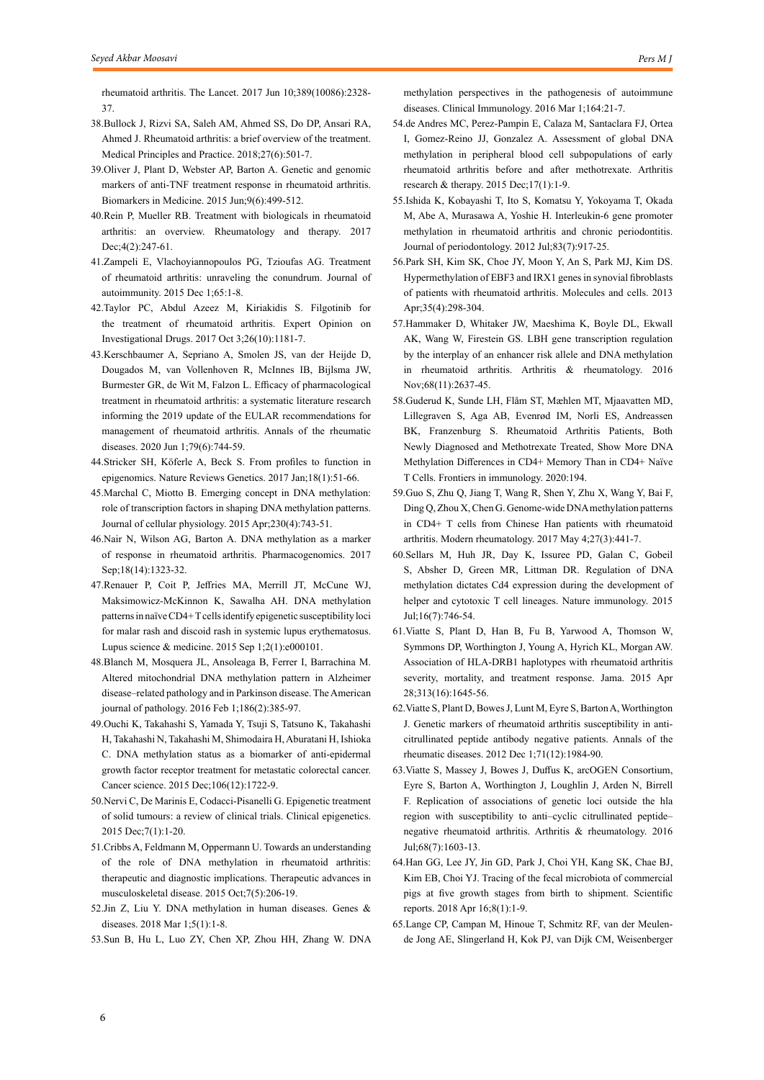rheumatoid arthritis. The Lancet. 2017 Jun 10;389(10086):2328- 37.

- 38.Bullock J, Rizvi SA, Saleh AM, Ahmed SS, Do DP, Ansari RA, Ahmed J. Rheumatoid arthritis: a brief overview of the treatment. Medical Principles and Practice. 2018;27(6):501-7.
- 39.Oliver J, Plant D, Webster AP, Barton A. Genetic and genomic markers of anti-TNF treatment response in rheumatoid arthritis. Biomarkers in Medicine. 2015 Jun;9(6):499-512.
- 40.Rein P, Mueller RB. Treatment with biologicals in rheumatoid arthritis: an overview. Rheumatology and therapy. 2017 Dec; 4(2): 247-61.
- 41.Zampeli E, Vlachoyiannopoulos PG, Tzioufas AG. Treatment of rheumatoid arthritis: unraveling the conundrum. Journal of autoimmunity. 2015 Dec 1;65:1-8.
- 42.Taylor PC, Abdul Azeez M, Kiriakidis S. Filgotinib for the treatment of rheumatoid arthritis. Expert Opinion on Investigational Drugs. 2017 Oct 3;26(10):1181-7.
- 43.Kerschbaumer A, Sepriano A, Smolen JS, van der Heijde D, Dougados M, van Vollenhoven R, McInnes IB, Bijlsma JW, Burmester GR, de Wit M, Falzon L. Efficacy of pharmacological treatment in rheumatoid arthritis: a systematic literature research informing the 2019 update of the EULAR recommendations for management of rheumatoid arthritis. Annals of the rheumatic diseases. 2020 Jun 1;79(6):744-59.
- 44.Stricker SH, Köferle A, Beck S. From profiles to function in epigenomics. Nature Reviews Genetics. 2017 Jan;18(1):51-66.
- 45.Marchal C, Miotto B. Emerging concept in DNA methylation: role of transcription factors in shaping DNA methylation patterns. Journal of cellular physiology. 2015 Apr;230(4):743-51.
- 46.Nair N, Wilson AG, Barton A. DNA methylation as a marker of response in rheumatoid arthritis. Pharmacogenomics. 2017 Sep;18(14):1323-32.
- 47.Renauer P, Coit P, Jeffries MA, Merrill JT, McCune WJ, Maksimowicz-McKinnon K, Sawalha AH. DNA methylation patterns in naïve CD4+ T cells identify epigenetic susceptibility loci for malar rash and discoid rash in systemic lupus erythematosus. Lupus science & medicine. 2015 Sep 1;2(1):e000101.
- 48.Blanch M, Mosquera JL, Ansoleaga B, Ferrer I, Barrachina M. Altered mitochondrial DNA methylation pattern in Alzheimer disease–related pathology and in Parkinson disease. The American journal of pathology. 2016 Feb 1;186(2):385-97.
- 49.Ouchi K, Takahashi S, Yamada Y, Tsuji S, Tatsuno K, Takahashi H, Takahashi N, Takahashi M, Shimodaira H, Aburatani H, Ishioka C. DNA methylation status as a biomarker of anti‐epidermal growth factor receptor treatment for metastatic colorectal cancer. Cancer science. 2015 Dec;106(12):1722-9.
- 50.Nervi C, De Marinis E, Codacci-Pisanelli G. Epigenetic treatment of solid tumours: a review of clinical trials. Clinical epigenetics. 2015 Dec;7(1):1-20.
- 51.Cribbs A, Feldmann M, Oppermann U. Towards an understanding of the role of DNA methylation in rheumatoid arthritis: therapeutic and diagnostic implications. Therapeutic advances in musculoskeletal disease. 2015 Oct;7(5):206-19.
- 52.Jin Z, Liu Y. DNA methylation in human diseases. Genes & diseases. 2018 Mar 1;5(1):1-8.
- 53.Sun B, Hu L, Luo ZY, Chen XP, Zhou HH, Zhang W. DNA

methylation perspectives in the pathogenesis of autoimmune diseases. Clinical Immunology. 2016 Mar 1;164:21-7.

- 54.de Andres MC, Perez-Pampin E, Calaza M, Santaclara FJ, Ortea I, Gomez-Reino JJ, Gonzalez A. Assessment of global DNA methylation in peripheral blood cell subpopulations of early rheumatoid arthritis before and after methotrexate. Arthritis research & therapy. 2015 Dec;17(1):1-9.
- 55.Ishida K, Kobayashi T, Ito S, Komatsu Y, Yokoyama T, Okada M, Abe A, Murasawa A, Yoshie H. Interleukin‐6 gene promoter methylation in rheumatoid arthritis and chronic periodontitis. Journal of periodontology. 2012 Jul;83(7):917-25.
- 56.Park SH, Kim SK, Choe JY, Moon Y, An S, Park MJ, Kim DS. Hypermethylation of EBF3 and IRX1 genes in synovial fibroblasts of patients with rheumatoid arthritis. Molecules and cells. 2013 Apr;35(4):298-304.
- 57.Hammaker D, Whitaker JW, Maeshima K, Boyle DL, Ekwall AK, Wang W, Firestein GS. LBH gene transcription regulation by the interplay of an enhancer risk allele and DNA methylation in rheumatoid arthritis. Arthritis & rheumatology. 2016 Nov;68(11):2637-45.
- 58.Guderud K, Sunde LH, Flåm ST, Mæhlen MT, Mjaavatten MD, Lillegraven S, Aga AB, Evenrød IM, Norli ES, Andreassen BK, Franzenburg S. Rheumatoid Arthritis Patients, Both Newly Diagnosed and Methotrexate Treated, Show More DNA Methylation Differences in CD4+ Memory Than in CD4+ Naïve T Cells. Frontiers in immunology. 2020:194.
- 59.Guo S, Zhu Q, Jiang T, Wang R, Shen Y, Zhu X, Wang Y, Bai F, Ding Q, Zhou X, Chen G. Genome-wide DNA methylation patterns in CD4+ T cells from Chinese Han patients with rheumatoid arthritis. Modern rheumatology. 2017 May 4;27(3):441-7.
- 60.Sellars M, Huh JR, Day K, Issuree PD, Galan C, Gobeil S, Absher D, Green MR, Littman DR. Regulation of DNA methylation dictates Cd4 expression during the development of helper and cytotoxic T cell lineages. Nature immunology. 2015 Jul;16(7):746-54.
- 61.Viatte S, Plant D, Han B, Fu B, Yarwood A, Thomson W, Symmons DP, Worthington J, Young A, Hyrich KL, Morgan AW. Association of HLA-DRB1 haplotypes with rheumatoid arthritis severity, mortality, and treatment response. Jama. 2015 Apr 28;313(16):1645-56.
- 62.Viatte S, Plant D, Bowes J, Lunt M, Eyre S, Barton A, Worthington J. Genetic markers of rheumatoid arthritis susceptibility in anticitrullinated peptide antibody negative patients. Annals of the rheumatic diseases. 2012 Dec 1;71(12):1984-90.
- 63.Viatte S, Massey J, Bowes J, Duffus K, arcOGEN Consortium, Eyre S, Barton A, Worthington J, Loughlin J, Arden N, Birrell F. Replication of associations of genetic loci outside the hla region with susceptibility to anti–cyclic citrullinated peptide– negative rheumatoid arthritis. Arthritis & rheumatology. 2016 Jul;68(7):1603-13.
- 64.Han GG, Lee JY, Jin GD, Park J, Choi YH, Kang SK, Chae BJ, Kim EB, Choi YJ. Tracing of the fecal microbiota of commercial pigs at five growth stages from birth to shipment. Scientific reports. 2018 Apr 16;8(1):1-9.
- 65.Lange CP, Campan M, Hinoue T, Schmitz RF, van der Meulende Jong AE, Slingerland H, Kok PJ, van Dijk CM, Weisenberger